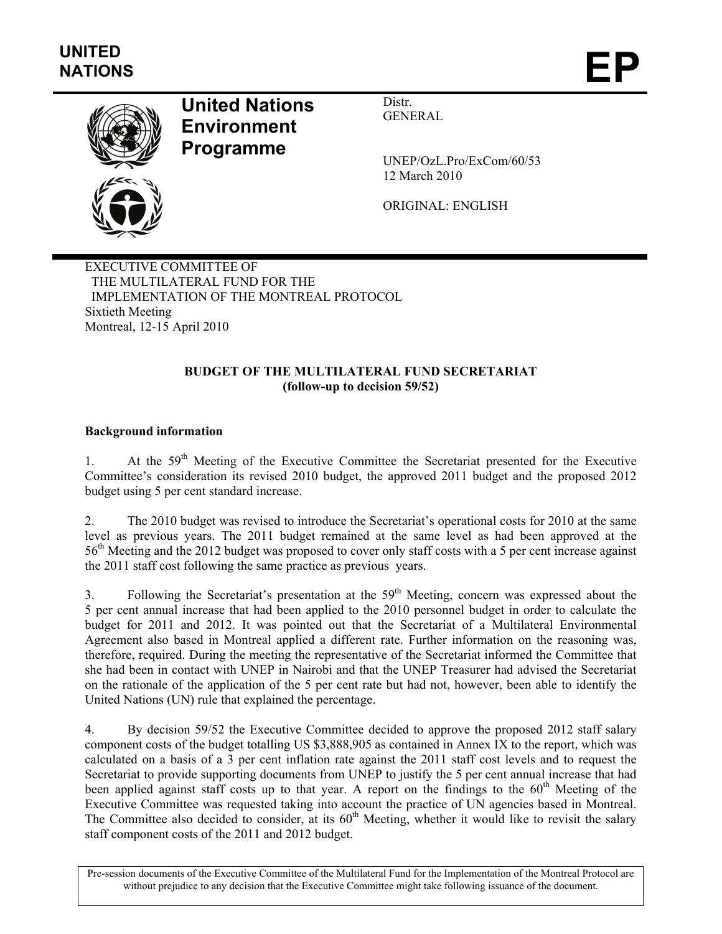

# **United Nations Environment Programme**

Distr. GENERAL

UNEP/OzL.Pro/ExCom/60/53 12 March 2010

ORIGINAL: ENGLISH

EXECUTIVE COMMITTEE OF THE MULTILATERAL FUND FOR THE IMPLEMENTATION OF THE MONTREAL PROTOCOL Sixtieth Meeting Montreal, 12-15 April 2010

## **BUDGET OF THE MULTILATERAL FUND SECRETARIAT (follow-up to decision 59/52)**

# **Background information**

1. At the 59<sup>th</sup> Meeting of the Executive Committee the Secretariat presented for the Executive Committee's consideration its revised 2010 budget, the approved 2011 budget and the proposed 2012 budget using 5 per cent standard increase.

2. The 2010 budget was revised to introduce the Secretariat's operational costs for 2010 at the same level as previous years. The 2011 budget remained at the same level as had been approved at the 56th Meeting and the 2012 budget was proposed to cover only staff costs with a 5 per cent increase against the 2011 staff cost following the same practice as previous years.

3. Following the Secretariat's presentation at the  $59<sup>th</sup>$  Meeting, concern was expressed about the 5 per cent annual increase that had been applied to the 2010 personnel budget in order to calculate the budget for 2011 and 2012. It was pointed out that the Secretariat of a Multilateral Environmental Agreement also based in Montreal applied a different rate. Further information on the reasoning was, therefore, required. During the meeting the representative of the Secretariat informed the Committee that she had been in contact with UNEP in Nairobi and that the UNEP Treasurer had advised the Secretariat on the rationale of the application of the 5 per cent rate but had not, however, been able to identify the United Nations (UN) rule that explained the percentage.

4. By decision 59/52 the Executive Committee decided to approve the proposed 2012 staff salary component costs of the budget totalling US \$3,888,905 as contained in Annex IX to the report, which was calculated on a basis of a 3 per cent inflation rate against the 2011 staff cost levels and to request the Secretariat to provide supporting documents from UNEP to justify the 5 per cent annual increase that had been applied against staff costs up to that year. A report on the findings to the 60<sup>th</sup> Meeting of the Executive Committee was requested taking into account the practice of UN agencies based in Montreal. The Committee also decided to consider, at its 60<sup>th</sup> Meeting, whether it would like to revisit the salary staff component costs of the 2011 and 2012 budget.

Pre-session documents of the Executive Committee of the Multilateral Fund for the Implementation of the Montreal Protocol are without prejudice to any decision that the Executive Committee might take following issuance of the document.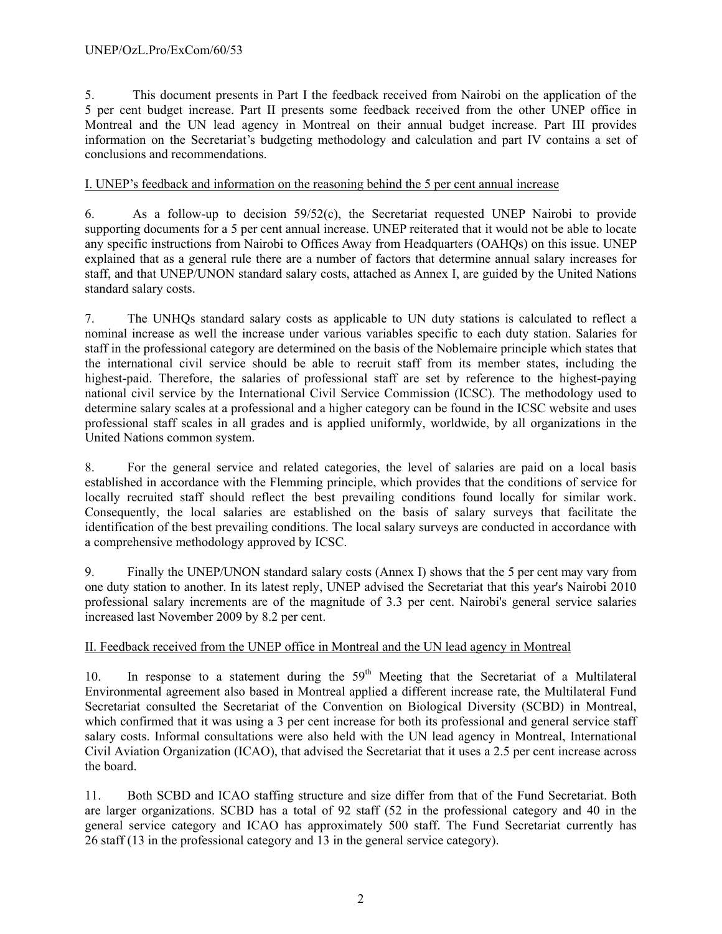5. This document presents in Part I the feedback received from Nairobi on the application of the 5 per cent budget increase. Part II presents some feedback received from the other UNEP office in Montreal and the UN lead agency in Montreal on their annual budget increase. Part III provides information on the Secretariat's budgeting methodology and calculation and part IV contains a set of conclusions and recommendations.

### I. UNEP's feedback and information on the reasoning behind the 5 per cent annual increase

6. As a follow-up to decision 59/52(c), the Secretariat requested UNEP Nairobi to provide supporting documents for a 5 per cent annual increase. UNEP reiterated that it would not be able to locate any specific instructions from Nairobi to Offices Away from Headquarters (OAHQs) on this issue. UNEP explained that as a general rule there are a number of factors that determine annual salary increases for staff, and that UNEP/UNON standard salary costs, attached as Annex I, are guided by the United Nations standard salary costs.

7. The UNHQs standard salary costs as applicable to UN duty stations is calculated to reflect a nominal increase as well the increase under various variables specific to each duty station. Salaries for staff in the professional category are determined on the basis of the Noblemaire principle which states that the international civil service should be able to recruit staff from its member states, including the highest-paid. Therefore, the salaries of professional staff are set by reference to the highest-paying national civil service by the International Civil Service Commission (ICSC). The methodology used to determine salary scales at a professional and a higher category can be found in the ICSC website and uses professional staff scales in all grades and is applied uniformly, worldwide, by all organizations in the United Nations common system.

8. For the general service and related categories, the level of salaries are paid on a local basis established in accordance with the Flemming principle, which provides that the conditions of service for locally recruited staff should reflect the best prevailing conditions found locally for similar work. Consequently, the local salaries are established on the basis of salary surveys that facilitate the identification of the best prevailing conditions. The local salary surveys are conducted in accordance with a comprehensive methodology approved by ICSC.

9. Finally the UNEP/UNON standard salary costs (Annex I) shows that the 5 per cent may vary from one duty station to another. In its latest reply, UNEP advised the Secretariat that this year's Nairobi 2010 professional salary increments are of the magnitude of 3.3 per cent. Nairobi's general service salaries increased last November 2009 by 8.2 per cent.

### II. Feedback received from the UNEP office in Montreal and the UN lead agency in Montreal

10. In response to a statement during the  $59<sup>th</sup>$  Meeting that the Secretariat of a Multilateral Environmental agreement also based in Montreal applied a different increase rate, the Multilateral Fund Secretariat consulted the Secretariat of the Convention on Biological Diversity (SCBD) in Montreal, which confirmed that it was using a 3 per cent increase for both its professional and general service staff salary costs. Informal consultations were also held with the UN lead agency in Montreal, International Civil Aviation Organization (ICAO), that advised the Secretariat that it uses a 2.5 per cent increase across the board.

11. Both SCBD and ICAO staffing structure and size differ from that of the Fund Secretariat. Both are larger organizations. SCBD has a total of 92 staff (52 in the professional category and 40 in the general service category and ICAO has approximately 500 staff. The Fund Secretariat currently has 26 staff (13 in the professional category and 13 in the general service category).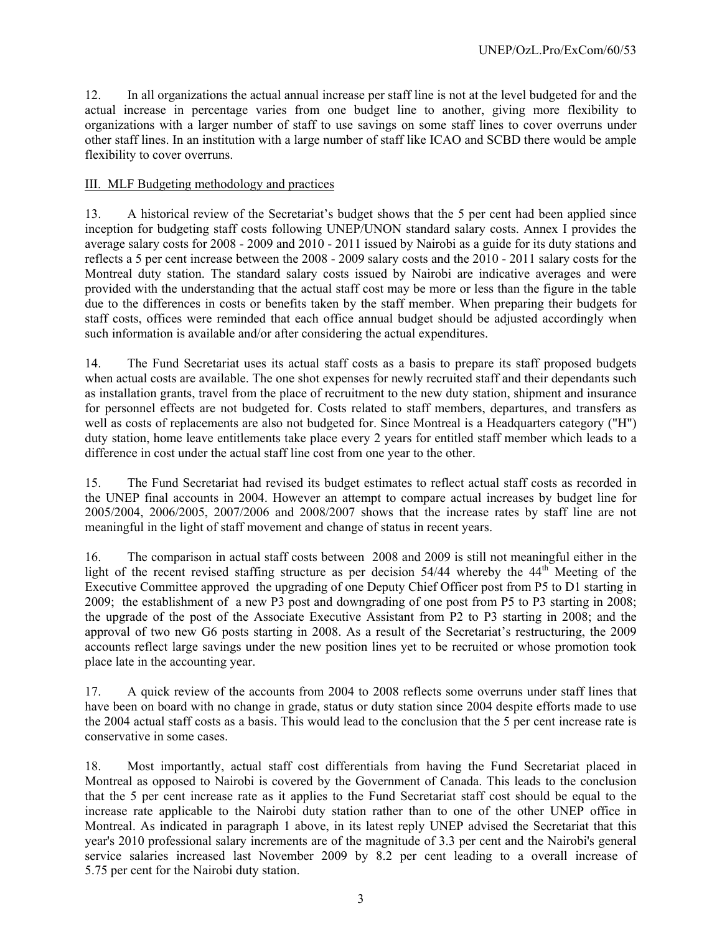12. In all organizations the actual annual increase per staff line is not at the level budgeted for and the actual increase in percentage varies from one budget line to another, giving more flexibility to organizations with a larger number of staff to use savings on some staff lines to cover overruns under other staff lines. In an institution with a large number of staff like ICAO and SCBD there would be ample flexibility to cover overruns.

## III. MLF Budgeting methodology and practices

13. A historical review of the Secretariat's budget shows that the 5 per cent had been applied since inception for budgeting staff costs following UNEP/UNON standard salary costs. Annex I provides the average salary costs for 2008 - 2009 and 2010 - 2011 issued by Nairobi as a guide for its duty stations and reflects a 5 per cent increase between the 2008 - 2009 salary costs and the 2010 - 2011 salary costs for the Montreal duty station. The standard salary costs issued by Nairobi are indicative averages and were provided with the understanding that the actual staff cost may be more or less than the figure in the table due to the differences in costs or benefits taken by the staff member. When preparing their budgets for staff costs, offices were reminded that each office annual budget should be adjusted accordingly when such information is available and/or after considering the actual expenditures.

14. The Fund Secretariat uses its actual staff costs as a basis to prepare its staff proposed budgets when actual costs are available. The one shot expenses for newly recruited staff and their dependants such as installation grants, travel from the place of recruitment to the new duty station, shipment and insurance for personnel effects are not budgeted for. Costs related to staff members, departures, and transfers as well as costs of replacements are also not budgeted for. Since Montreal is a Headquarters category ("H") duty station, home leave entitlements take place every 2 years for entitled staff member which leads to a difference in cost under the actual staff line cost from one year to the other.

15. The Fund Secretariat had revised its budget estimates to reflect actual staff costs as recorded in the UNEP final accounts in 2004. However an attempt to compare actual increases by budget line for 2005/2004, 2006/2005, 2007/2006 and 2008/2007 shows that the increase rates by staff line are not meaningful in the light of staff movement and change of status in recent years.

16. The comparison in actual staff costs between 2008 and 2009 is still not meaningful either in the light of the recent revised staffing structure as per decision  $54/44$  whereby the  $44<sup>th</sup>$  Meeting of the Executive Committee approved the upgrading of one Deputy Chief Officer post from P5 to D1 starting in 2009; the establishment of a new P3 post and downgrading of one post from P5 to P3 starting in 2008; the upgrade of the post of the Associate Executive Assistant from P2 to P3 starting in 2008; and the approval of two new G6 posts starting in 2008. As a result of the Secretariat's restructuring, the 2009 accounts reflect large savings under the new position lines yet to be recruited or whose promotion took place late in the accounting year.

17. A quick review of the accounts from 2004 to 2008 reflects some overruns under staff lines that have been on board with no change in grade, status or duty station since 2004 despite efforts made to use the 2004 actual staff costs as a basis. This would lead to the conclusion that the 5 per cent increase rate is conservative in some cases.

18. Most importantly, actual staff cost differentials from having the Fund Secretariat placed in Montreal as opposed to Nairobi is covered by the Government of Canada. This leads to the conclusion that the 5 per cent increase rate as it applies to the Fund Secretariat staff cost should be equal to the increase rate applicable to the Nairobi duty station rather than to one of the other UNEP office in Montreal. As indicated in paragraph 1 above, in its latest reply UNEP advised the Secretariat that this year's 2010 professional salary increments are of the magnitude of 3.3 per cent and the Nairobi's general service salaries increased last November 2009 by 8.2 per cent leading to a overall increase of 5.75 per cent for the Nairobi duty station.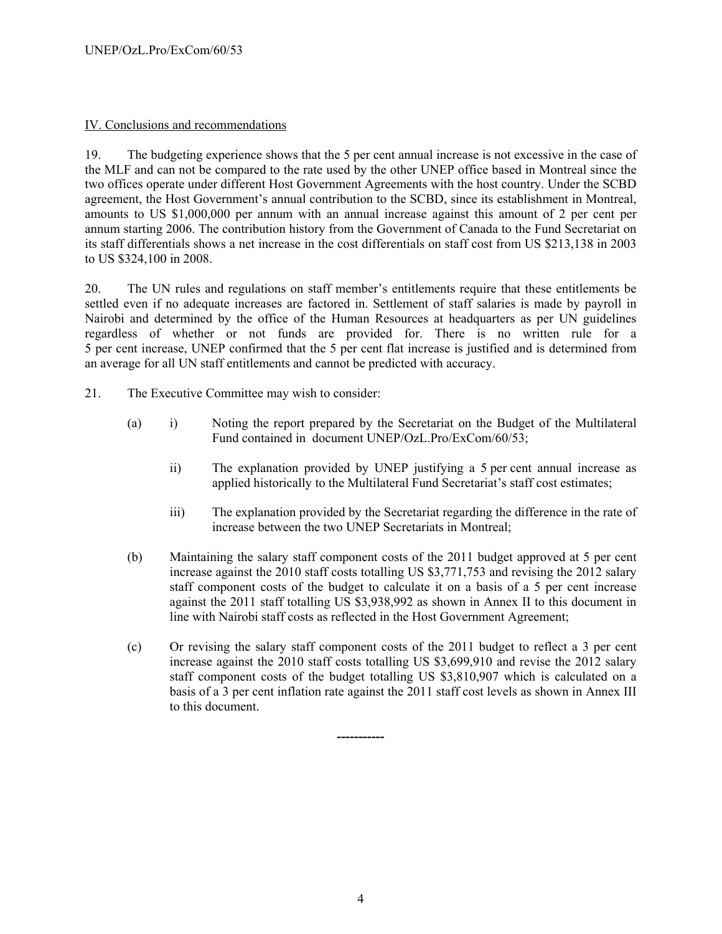## IV. Conclusions and recommendations

19. The budgeting experience shows that the 5 per cent annual increase is not excessive in the case of the MLF and can not be compared to the rate used by the other UNEP office based in Montreal since the two offices operate under different Host Government Agreements with the host country. Under the SCBD agreement, the Host Government's annual contribution to the SCBD, since its establishment in Montreal, amounts to US \$1,000,000 per annum with an annual increase against this amount of 2 per cent per annum starting 2006. The contribution history from the Government of Canada to the Fund Secretariat on its staff differentials shows a net increase in the cost differentials on staff cost from US \$213,138 in 2003 to US \$324,100 in 2008.

20. The UN rules and regulations on staff member's entitlements require that these entitlements be settled even if no adequate increases are factored in. Settlement of staff salaries is made by payroll in Nairobi and determined by the office of the Human Resources at headquarters as per UN guidelines regardless of whether or not funds are provided for. There is no written rule for a 5 per cent increase, UNEP confirmed that the 5 per cent flat increase is justified and is determined from an average for all UN staff entitlements and cannot be predicted with accuracy.

- 21. The Executive Committee may wish to consider:
	- (a) i) Noting the report prepared by the Secretariat on the Budget of the Multilateral Fund contained in document UNEP/OzL.Pro/ExCom/60/53;
		- ii) The explanation provided by UNEP justifying a 5 per cent annual increase as applied historically to the Multilateral Fund Secretariat's staff cost estimates;
		- iii) The explanation provided by the Secretariat regarding the difference in the rate of increase between the two UNEP Secretariats in Montreal;
	- (b) Maintaining the salary staff component costs of the 2011 budget approved at 5 per cent increase against the 2010 staff costs totalling US \$3,771,753 and revising the 2012 salary staff component costs of the budget to calculate it on a basis of a 5 per cent increase against the 2011 staff totalling US \$3,938,992 as shown in Annex II to this document in line with Nairobi staff costs as reflected in the Host Government Agreement;
	- (c) Or revising the salary staff component costs of the 2011 budget to reflect a 3 per cent increase against the 2010 staff costs totalling US \$3,699,910 and revise the 2012 salary staff component costs of the budget totalling US \$3,810,907 which is calculated on a basis of a 3 per cent inflation rate against the 2011 staff cost levels as shown in Annex III to this document.

**-----------**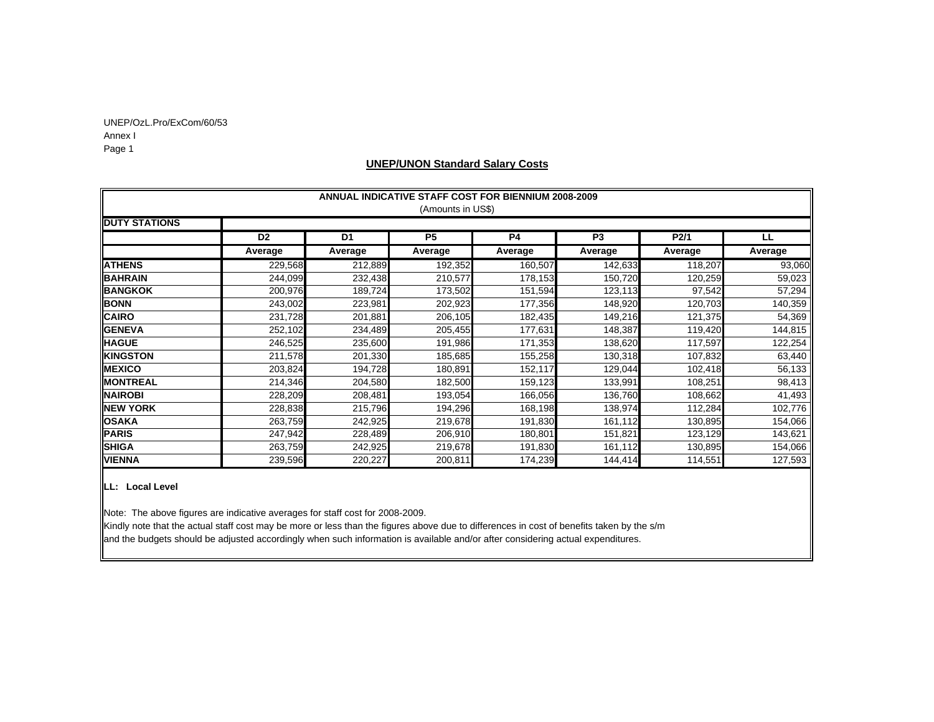UNEP/OzL.Pro/ExCom/60/53 Annex I Page 1

### **UNEP/UNON Standard Salary Costs**

|                      | <b>ANNUAL INDICATIVE STAFF COST FOR BIENNIUM 2008-2009</b> |                |                   |           |         |         |         |  |  |
|----------------------|------------------------------------------------------------|----------------|-------------------|-----------|---------|---------|---------|--|--|
|                      |                                                            |                | (Amounts in US\$) |           |         |         |         |  |  |
| <b>DUTY STATIONS</b> |                                                            |                |                   |           |         |         |         |  |  |
|                      | D <sub>2</sub>                                             | D <sub>1</sub> | P <sub>5</sub>    | <b>P4</b> | P3      | P2/1    | LL.     |  |  |
|                      | Average                                                    | Average        | Average           | Average   | Average | Average | Average |  |  |
| <b>ATHENS</b>        | 229,568                                                    | 212,889        | 192,352           | 160,507   | 142,633 | 118,207 | 93,060  |  |  |
| <b>BAHRAIN</b>       | 244,099                                                    | 232,438        | 210,577           | 178,153   | 150,720 | 120,259 | 59,023  |  |  |
| <b>BANGKOK</b>       | 200,976                                                    | 189,724        | 173,502           | 151,594   | 123,113 | 97,542  | 57,294  |  |  |
| <b>BONN</b>          | 243,002                                                    | 223,981        | 202,923           | 177,356   | 148,920 | 120,703 | 140,359 |  |  |
| <b>CAIRO</b>         | 231,728                                                    | 201,881        | 206,105           | 182,435   | 149,216 | 121,375 | 54,369  |  |  |
| <b>GENEVA</b>        | 252,102                                                    | 234,489        | 205,455           | 177,631   | 148,387 | 119,420 | 144,815 |  |  |
| <b>HAGUE</b>         | 246,525                                                    | 235,600        | 191,986           | 171,353   | 138,620 | 117,597 | 122,254 |  |  |
| <b>KINGSTON</b>      | 211,578                                                    | 201,330        | 185,685           | 155,258   | 130,318 | 107,832 | 63,440  |  |  |
| <b>MEXICO</b>        | 203,824                                                    | 194,728        | 180,891           | 152,117   | 129,044 | 102,418 | 56,133  |  |  |
| <b>MONTREAL</b>      | 214,346                                                    | 204,580        | 182,500           | 159,123   | 133,991 | 108,251 | 98,413  |  |  |
| <b>NAIROBI</b>       | 228,209                                                    | 208,481        | 193,054           | 166,056   | 136,760 | 108,662 | 41,493  |  |  |
| <b>NEW YORK</b>      | 228,838                                                    | 215,796        | 194,296           | 168,198   | 138,974 | 112,284 | 102,776 |  |  |
| <b>OSAKA</b>         | 263,759                                                    | 242,925        | 219,678           | 191,830   | 161,112 | 130,895 | 154,066 |  |  |
| <b>PARIS</b>         | 247,942                                                    | 228,489        | 206,910           | 180,801   | 151,821 | 123,129 | 143,621 |  |  |
| <b>SHIGA</b>         | 263,759                                                    | 242,925        | 219,678           | 191,830   | 161,112 | 130,895 | 154,066 |  |  |
| <b>VIENNA</b>        | 239,596                                                    | 220,227        | 200,811           | 174,239   | 144,414 | 114,551 | 127,593 |  |  |

### **LL: Local Level**

Note: The above figures are indicative averages for staff cost for 2008-2009.

Kindly note that the actual staff cost may be more or less than the figures above due to differences in cost of benefits taken by the s/m and the budgets should be adjusted accordingly when such information is available and/or after considering actual expenditures.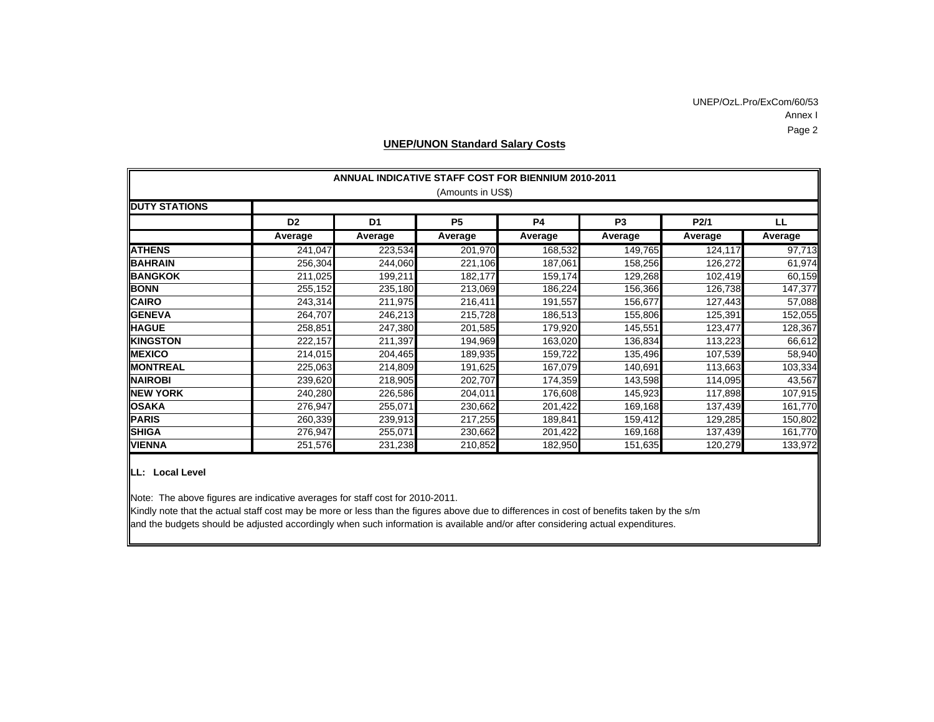### Annex I Page 2 UNEP/OzL.Pro/ExCom/60/53

| <b>ANNUAL INDICATIVE STAFF COST FOR BIENNIUM 2010-2011</b> |                   |                |           |           |                |         |         |  |  |  |
|------------------------------------------------------------|-------------------|----------------|-----------|-----------|----------------|---------|---------|--|--|--|
|                                                            | (Amounts in US\$) |                |           |           |                |         |         |  |  |  |
| <b>DUTY STATIONS</b>                                       |                   |                |           |           |                |         |         |  |  |  |
|                                                            | D <sub>2</sub>    | D <sub>1</sub> | <b>P5</b> | <b>P4</b> | P <sub>3</sub> | P2/1    | LL      |  |  |  |
|                                                            | Average           | Average        | Average   | Average   | Average        | Average | Average |  |  |  |
| <b>ATHENS</b>                                              | 241,047           | 223,534        | 201,970   | 168,532   | 149,765        | 124,117 | 97,713  |  |  |  |
| <b>BAHRAIN</b>                                             | 256,304           | 244,060        | 221,106   | 187,061   | 158,256        | 126,272 | 61,974  |  |  |  |
| <b>BANGKOK</b>                                             | 211,025           | 199,211        | 182,177   | 159,174   | 129,268        | 102,419 | 60,159  |  |  |  |
| <b>BONN</b>                                                | 255,152           | 235,180        | 213,069   | 186,224   | 156,366        | 126,738 | 147,377 |  |  |  |
| <b>CAIRO</b>                                               | 243,314           | 211,975        | 216,411   | 191,557   | 156,677        | 127,443 | 57,088  |  |  |  |
| <b>GENEVA</b>                                              | 264,707           | 246,213        | 215,728   | 186,513   | 155,806        | 125,391 | 152,055 |  |  |  |
| <b>HAGUE</b>                                               | 258,851           | 247,380        | 201,585   | 179,920   | 145,551        | 123,477 | 128,367 |  |  |  |
| <b>KINGSTON</b>                                            | 222,157           | 211,397        | 194,969   | 163,020   | 136,834        | 113,223 | 66,612  |  |  |  |
| <b>MEXICO</b>                                              | 214,015           | 204,465        | 189,935   | 159,722   | 135,496        | 107,539 | 58,940  |  |  |  |
| <b>MONTREAL</b>                                            | 225,063           | 214,809        | 191,625   | 167,079   | 140,691        | 113,663 | 103,334 |  |  |  |
| <b>NAIROBI</b>                                             | 239,620           | 218,905        | 202,707   | 174,359   | 143,598        | 114,095 | 43,567  |  |  |  |
| <b>NEW YORK</b>                                            | 240,280           | 226,586        | 204,011   | 176,608   | 145,923        | 117,898 | 107,915 |  |  |  |
| <b>OSAKA</b>                                               | 276,947           | 255,071        | 230,662   | 201,422   | 169,168        | 137,439 | 161,770 |  |  |  |
| <b>PARIS</b>                                               | 260,339           | 239,913        | 217,255   | 189,841   | 159,412        | 129,285 | 150,802 |  |  |  |
| <b>SHIGA</b>                                               | 276,947           | 255,071        | 230,662   | 201,422   | 169,168        | 137,439 | 161,770 |  |  |  |
| <b>VIENNA</b>                                              | 251,576           | 231,238        | 210,852   | 182,950   | 151,635        | 120,279 | 133,972 |  |  |  |

### **UNEP/UNON Standard Salary Costs**

**LL: Local Level**

Note: The above figures are indicative averages for staff cost for 2010-2011.

Kindly note that the actual staff cost may be more or less than the figures above due to differences in cost of benefits taken by the s/m and the budgets should be adjusted accordingly when such information is available and/or after considering actual expenditures.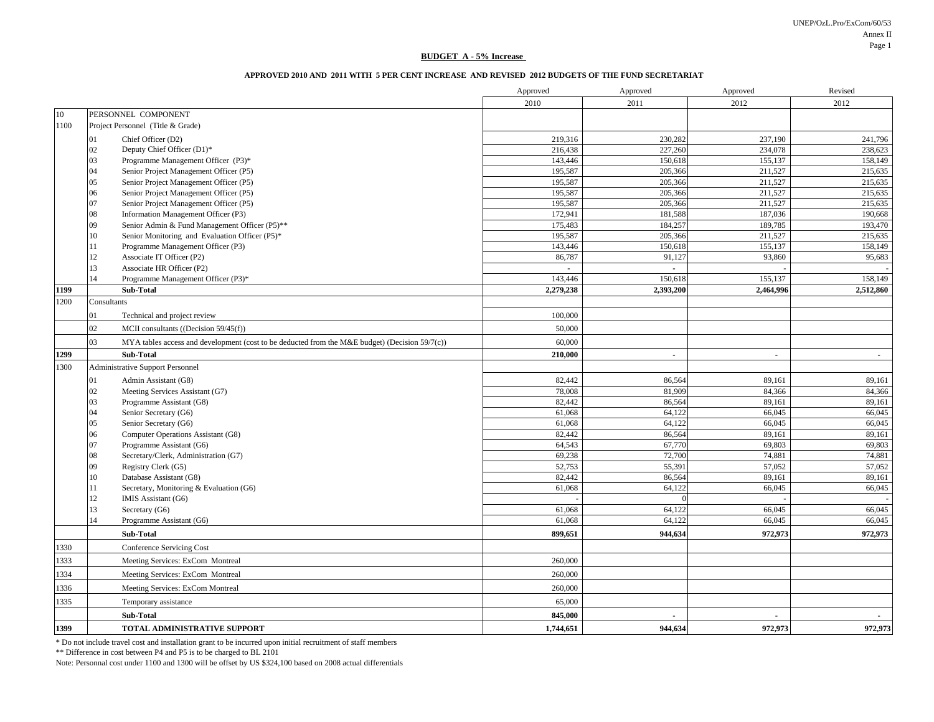UNEP/OzL.Pro/ExCom/60/53 Annex IIPage 1

#### **BUDGET A - 5% Increase**

### **APPROVED 2010 AND 2011 WITH 5 PER CENT INCREASE AND REVISED 2012 BUDGETS OF THE FUND SECRETARIAT**

|      |                 |                                                                                                   | Approved  | Approved       | Approved       | Revised   |
|------|-----------------|---------------------------------------------------------------------------------------------------|-----------|----------------|----------------|-----------|
|      |                 |                                                                                                   | 2010      | 2011           | 2012           | 2012      |
| 10   |                 | PERSONNEL COMPONENT                                                                               |           |                |                |           |
| 1100 |                 | Project Personnel (Title & Grade)                                                                 |           |                |                |           |
|      | 01              | Chief Officer (D2)                                                                                | 219,316   | 230,282        | 237,190        | 241,796   |
|      | 02              | Deputy Chief Officer (D1)*                                                                        | 216,438   | 227,260        | 234,078        | 238,623   |
|      | 03              | Programme Management Officer (P3)*                                                                | 143,446   | 150,618        | 155,137        | 158,149   |
|      | 04              | Senior Project Management Officer (P5)                                                            | 195,587   | 205,366        | 211,527        | 215,635   |
|      | 05              | Senior Project Management Officer (P5)                                                            | 195,587   | 205,366        | 211,527        | 215,635   |
|      | 06              | Senior Project Management Officer (P5)                                                            | 195,587   | 205,366        | 211,527        | 215,635   |
|      | 07              | Senior Project Management Officer (P5)                                                            | 195,587   | 205,366        | 211,527        | 215,635   |
|      | 08              | Information Management Officer (P3)                                                               | 172,941   | 181,588        | 187,036        | 190,668   |
|      | 09              | Senior Admin & Fund Management Officer (P5)**                                                     | 175,483   | 184,257        | 189,785        | 193,470   |
|      | 10              | Senior Monitoring and Evaluation Officer (P5)*                                                    | 195,587   | 205,366        | 211,527        | 215,635   |
|      | 11              | Programme Management Officer (P3)                                                                 | 143,446   | 150,618        | 155,137        | 158,149   |
|      | 12              | Associate IT Officer (P2)                                                                         | 86,787    | 91,127         | 93,860         | 95,683    |
|      | 13              | Associate HR Officer (P2)                                                                         |           | $\blacksquare$ |                |           |
|      | $\overline{14}$ | Programme Management Officer (P3)*                                                                | 143,446   | 150,618        | 155,137        | 158,149   |
| 1199 |                 | Sub-Total                                                                                         | 2,279,238 | 2,393,200      | 2,464,996      | 2,512,860 |
| 1200 | Consultants     |                                                                                                   |           |                |                |           |
|      | 01              | Technical and project review                                                                      | 100,000   |                |                |           |
|      | 02 <sub>2</sub> | MCII consultants ((Decision $59/45(f)$ )                                                          | 50,000    |                |                |           |
|      | 03              | MYA tables access and development (cost to be deducted from the M&E budget) (Decision $59/7(c)$ ) | 60,000    |                |                |           |
| 1299 |                 | Sub-Total                                                                                         | 210,000   | $\blacksquare$ | $\blacksquare$ | $\sim$    |
| 1300 |                 | Administrative Support Personnel                                                                  |           |                |                |           |
|      | 01              | Admin Assistant (G8)                                                                              | 82,442    | 86,564         | 89,161         | 89,161    |
|      | 02              | Meeting Services Assistant (G7)                                                                   | 78,008    | 81,909         | 84,366         | 84,366    |
|      | 03              | Programme Assistant (G8)                                                                          | 82,442    | 86,564         | 89,161         | 89,161    |
|      | 04              | Senior Secretary (G6)                                                                             | 61,068    | 64,122         | 66,045         | 66,045    |
|      | 05              | Senior Secretary (G6)                                                                             | 61,068    | 64,122         | 66,045         | 66,045    |
|      | 06              | Computer Operations Assistant (G8)                                                                | 82,442    | 86,564         | 89,161         | 89,161    |
|      | 07              | Programme Assistant (G6)                                                                          | 64,543    | 67,770         | 69,803         | 69,803    |
|      | 08              | Secretary/Clerk, Administration (G7)                                                              | 69,238    | 72,700         | 74,881         | 74,881    |
|      | 09              | Registry Clerk (G5)                                                                               | 52,753    | 55,391         | 57,052         | 57,052    |
|      | 10              | Database Assistant (G8)                                                                           | 82,442    | 86,564         | 89,161         | 89,161    |
|      | 11              | Secretary, Monitoring & Evaluation (G6)                                                           | 61,068    | 64,122         | 66,045         | 66,045    |
|      | 12              | IMIS Assistant (G6)                                                                               |           |                |                |           |
|      | 13              | Secretary (G6)                                                                                    | 61.068    | 64,122         | 66,045         | 66,045    |
|      | 14              | Programme Assistant (G6)                                                                          | 61,068    | 64,122         | 66,045         | 66,045    |
|      |                 | Sub-Total                                                                                         | 899,651   | 944,634        | 972,973        | 972,973   |
| 1330 |                 | <b>Conference Servicing Cost</b>                                                                  |           |                |                |           |
| 1333 |                 | Meeting Services: ExCom Montreal                                                                  | 260,000   |                |                |           |
| 1334 |                 | Meeting Services: ExCom Montreal                                                                  | 260,000   |                |                |           |
| 1336 |                 | Meeting Services: ExCom Montreal                                                                  | 260,000   |                |                |           |
| 1335 |                 | Temporary assistance                                                                              | 65,000    |                |                |           |
|      |                 | Sub-Total                                                                                         | 845,000   |                |                |           |
| 1399 |                 | TOTAL ADMINISTRATIVE SUPPORT                                                                      | 1,744,651 | 944,634        | 972,973        | 972,973   |

\* Do not include travel cost and installation grant to be incurred upon initial recruitment of staff members

\*\* Difference in cost between P4 and P5 is to be charged to BL 2101

Note: Personnal cost under 1100 and 1300 will be offset by US \$324,100 based on 2008 actual differentials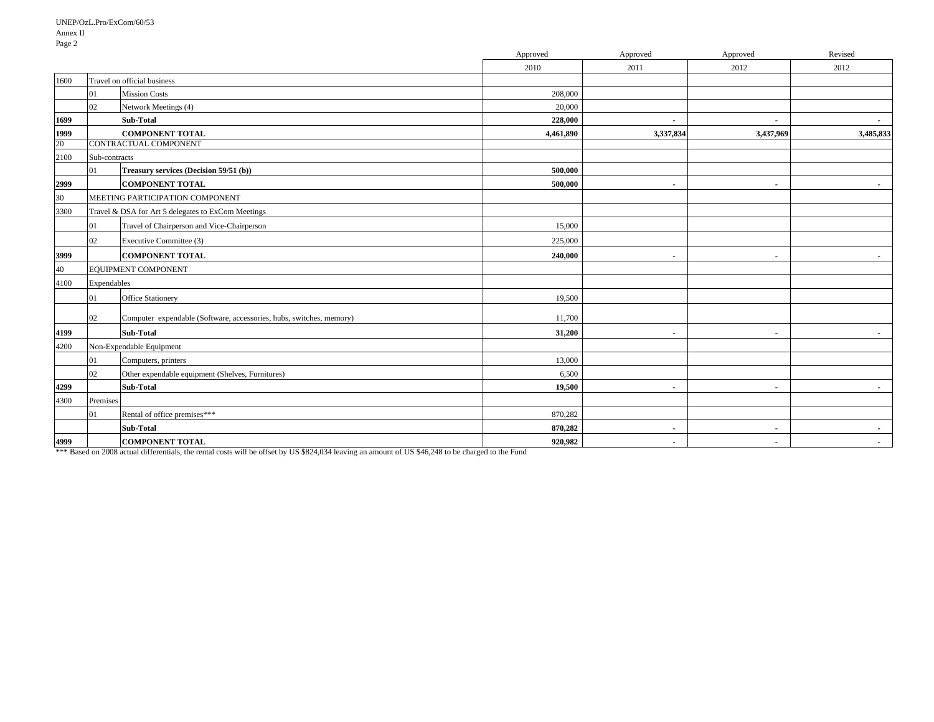|      |               |                                                                     | Approved  | Approved       | Approved       | Revised   |
|------|---------------|---------------------------------------------------------------------|-----------|----------------|----------------|-----------|
|      |               |                                                                     | 2010      | 2011           | 2012           | 2012      |
| 1600 |               | Travel on official business                                         |           |                |                |           |
|      | 01            | <b>Mission Costs</b>                                                | 208,000   |                |                |           |
|      | 02            | Network Meetings (4)                                                | 20,000    |                |                |           |
| 1699 |               | Sub-Total                                                           | 228,000   | $\blacksquare$ | $\sim$         | $\sim$    |
| 1999 |               | <b>COMPONENT TOTAL</b>                                              | 4,461,890 | 3,337,834      | 3,437,969      | 3,485,833 |
| 20   |               | CONTRACTUAL COMPONENT                                               |           |                |                |           |
| 2100 | Sub-contracts |                                                                     |           |                |                |           |
|      | 01            | Treasury services (Decision 59/51 (b))                              | 500,000   |                |                |           |
| 2999 |               | <b>COMPONENT TOTAL</b>                                              | 500,000   | $\sim$         | $\sim$         | $\sim$    |
| 30   |               | MEETING PARTICIPATION COMPONENT                                     |           |                |                |           |
| 3300 |               | Travel & DSA for Art 5 delegates to ExCom Meetings                  |           |                |                |           |
|      | 01            | Travel of Chairperson and Vice-Chairperson                          | 15,000    |                |                |           |
|      | 02            | Executive Committee (3)                                             | 225,000   |                |                |           |
| 3999 |               | <b>COMPONENT TOTAL</b>                                              | 240,000   | $\blacksquare$ | $\blacksquare$ |           |
| 40   |               | EQUIPMENT COMPONENT                                                 |           |                |                |           |
| 4100 | Expendables   |                                                                     |           |                |                |           |
|      | 01            | <b>Office Stationery</b>                                            | 19,500    |                |                |           |
|      | 02            | Computer expendable (Software, accessories, hubs, switches, memory) | 11,700    |                |                |           |
| 4199 |               | <b>Sub-Total</b>                                                    | 31,200    | $\blacksquare$ | $\blacksquare$ | $\sim$    |
| 4200 |               | Non-Expendable Equipment                                            |           |                |                |           |
|      | 01            | Computers, printers                                                 | 13,000    |                |                |           |
|      | 02            | Other expendable equipment (Shelves, Furnitures)                    | 6,500     |                |                |           |
| 4299 |               | <b>Sub-Total</b>                                                    | 19,500    | $\blacksquare$ | $\sim$         | $\sim$    |
| 4300 | Premises      |                                                                     |           |                |                |           |
|      | 01            | Rental of office premises***                                        | 870,282   |                |                |           |
|      |               | <b>Sub-Total</b>                                                    | 870.282   | $\blacksquare$ | $\blacksquare$ | $\sim$    |
| 4999 |               | <b>COMPONENT TOTAL</b>                                              | 920,982   | $\blacksquare$ | $\blacksquare$ | $\sim$    |

\*\*\* Based on 2008 actual differentials, the rental costs will be offset by US \$824,034 leaving an amount of US \$46,248 to be charged to the Fund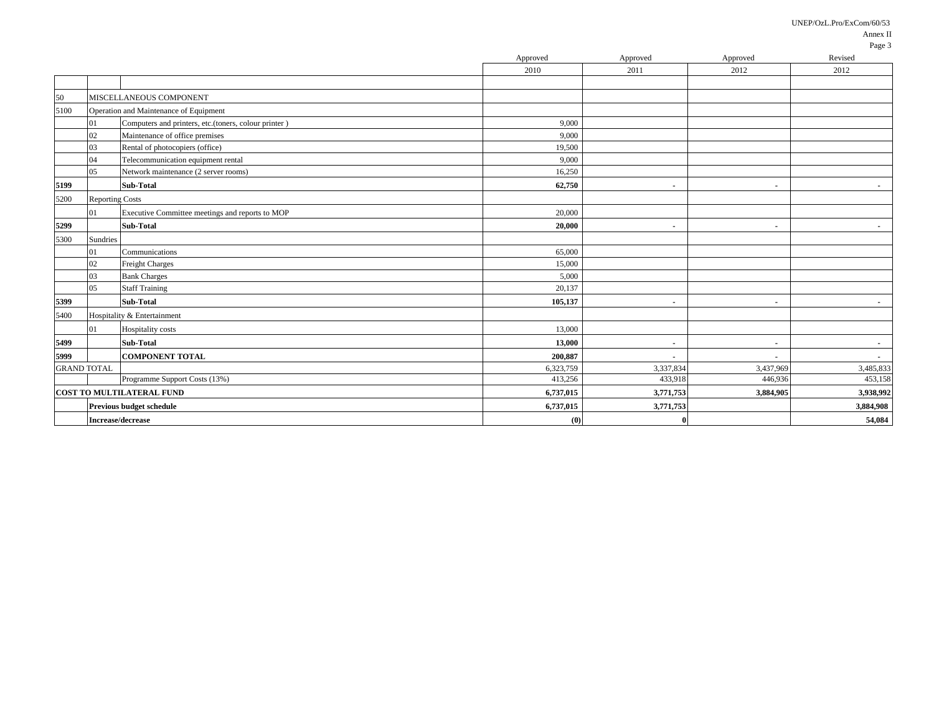UNEP/OzL.Pro/ExCom/60/53

|                    |                        |                                                      | Approved  | Approved                 | Approved       | 1 agu J<br>Revised |
|--------------------|------------------------|------------------------------------------------------|-----------|--------------------------|----------------|--------------------|
|                    |                        |                                                      | 2010      | 2011                     | 2012           | 2012               |
|                    |                        |                                                      |           |                          |                |                    |
| 50                 |                        | MISCELLANEOUS COMPONENT                              |           |                          |                |                    |
| 5100               |                        | Operation and Maintenance of Equipment               |           |                          |                |                    |
|                    | 01                     | Computers and printers, etc.(toners, colour printer) | 9,000     |                          |                |                    |
|                    | 02                     | Maintenance of office premises                       | 9,000     |                          |                |                    |
|                    | 03                     | Rental of photocopiers (office)                      | 19,500    |                          |                |                    |
|                    | 04                     | Telecommunication equipment rental                   | 9,000     |                          |                |                    |
|                    | 05                     | Network maintenance (2 server rooms)                 | 16,250    |                          |                |                    |
| 5199               |                        | <b>Sub-Total</b>                                     | 62,750    | $\blacksquare$           | $\blacksquare$ | $\sim$             |
| 5200               | <b>Reporting Costs</b> |                                                      |           |                          |                |                    |
|                    | $_{01}$                | Executive Committee meetings and reports to MOP      | 20,000    |                          |                |                    |
| 5299               |                        | Sub-Total                                            | 20,000    | $\blacksquare$           | $\blacksquare$ | $\sim$             |
| 5300               | Sundries               |                                                      |           |                          |                |                    |
|                    | 01                     | Communications                                       | 65,000    |                          |                |                    |
|                    | 02                     | <b>Freight Charges</b>                               | 15,000    |                          |                |                    |
|                    | 03                     | <b>Bank Charges</b>                                  | 5,000     |                          |                |                    |
|                    | 05                     | <b>Staff Training</b>                                | 20,137    |                          |                |                    |
| 5399               |                        | Sub-Total                                            | 105,137   | $\overline{\phantom{a}}$ | $\blacksquare$ | $\sim$             |
| 5400               |                        | Hospitality & Entertainment                          |           |                          |                |                    |
|                    | 01                     | Hospitality costs                                    | 13,000    |                          |                |                    |
| 5499               |                        | Sub-Total                                            | 13,000    | $\blacksquare$           | $\blacksquare$ | $\sim$             |
| 5999               |                        | <b>COMPONENT TOTAL</b>                               | 200,887   | $\blacksquare$           | $\sim$         | $\sim$             |
| <b>GRAND TOTAL</b> |                        |                                                      | 6,323,759 | 3,337,834                | 3,437,969      | 3,485,833          |
|                    |                        | Programme Support Costs (13%)                        | 413,256   | 433,918                  | 446,936        | 453,158            |
|                    |                        | <b>COST TO MULTILATERAL FUND</b>                     | 6,737,015 | 3,771,753                | 3,884,905      | 3,938,992          |
|                    |                        | Previous budget schedule                             | 6,737,015 | 3,771,753                |                | 3,884,908          |
|                    |                        | <b>Increase/decrease</b>                             | (0)       |                          |                | 54,084             |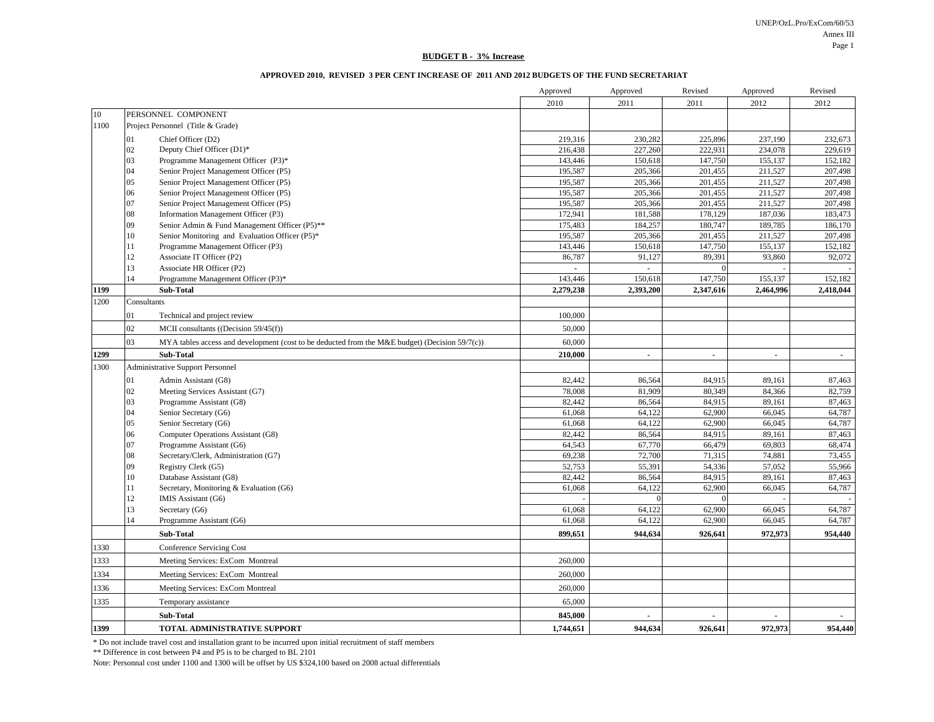UNEP/OzL.Pro/ExCom/60/53 Annex III Page 1

#### **BUDGET B - 3% Increase**

### **APPROVED 2010, REVISED 3 PER CENT INCREASE OF 2011 AND 2012 BUDGETS OF THE FUND SECRETARIAT**

|      |             |                                                                                                   | Approved  | Approved       | Revised        | Approved       | Revised        |
|------|-------------|---------------------------------------------------------------------------------------------------|-----------|----------------|----------------|----------------|----------------|
|      |             |                                                                                                   | 2010      | 2011           | 2011           | 2012           | 2012           |
| 10   |             | PERSONNEL COMPONENT                                                                               |           |                |                |                |                |
| 1100 |             | Project Personnel (Title & Grade)                                                                 |           |                |                |                |                |
|      | 01          | Chief Officer (D2)                                                                                | 219,316   | 230,282        | 225,896        | 237,190        | 232,673        |
|      | 02          | Deputy Chief Officer (D1)*                                                                        | 216,438   | 227,260        | 222,931        | 234,078        | 229,619        |
|      | 03          | Programme Management Officer (P3)*                                                                | 143,446   | 150,618        | 147,750        | 155,137        | 152,182        |
|      | 04          | Senior Project Management Officer (P5)                                                            | 195,587   | 205,366        | 201,455        | 211,527        | 207,498        |
|      | 05          | Senior Project Management Officer (P5)                                                            | 195,587   | 205,366        | 201,455        | 211,527        | 207,498        |
|      | 06          | Senior Project Management Officer (P5)                                                            | 195,587   | 205,366        | 201,455        | 211,527        | 207,498        |
|      | 07          | Senior Project Management Officer (P5)                                                            | 195,587   | 205,366        | 201,455        | 211,527        | 207,498        |
|      | 08          | Information Management Officer (P3)                                                               | 172,941   | 181,588        | 178,129        | 187,036        | 183,473        |
|      | 09          | Senior Admin & Fund Management Officer (P5)**                                                     | 175,483   | 184,257        | 180,747        | 189,785        | 186,170        |
|      | 10          | Senior Monitoring and Evaluation Officer (P5)*                                                    | 195,587   | 205,366        | 201,455        | 211,527        | 207,498        |
|      | 11          | Programme Management Officer (P3)                                                                 | 143,446   | 150,618        | 147,750        | 155,137        | 152,182        |
|      | 12          | Associate IT Officer (P2)                                                                         | 86,787    | 91,127         | 89,391         | 93,860         | 92,072         |
|      | 13          | Associate HR Officer (P2)                                                                         |           |                |                |                |                |
|      | 14          | Programme Management Officer (P3)*                                                                | 143,446   | 150,618        | 147,750        | 155,137        | 152,182        |
| 1199 |             | Sub-Total                                                                                         | 2,279,238 | 2,393,200      | 2,347,616      | 2,464,996      | 2,418,044      |
| 1200 | Consultants |                                                                                                   |           |                |                |                |                |
|      | 01          | Technical and project review                                                                      | 100,000   |                |                |                |                |
|      | 02          | MCII consultants ((Decision 59/45(f))                                                             | 50,000    |                |                |                |                |
|      | 03          | MYA tables access and development (cost to be deducted from the M&E budget) (Decision $59/7(c)$ ) | 60,000    |                |                |                |                |
| 1299 |             | Sub-Total                                                                                         | 210,000   | $\blacksquare$ | $\blacksquare$ | $\blacksquare$ | $\blacksquare$ |
| 1300 |             | Administrative Support Personnel                                                                  |           |                |                |                |                |
|      | 01          | Admin Assistant (G8)                                                                              | 82,442    | 86,564         | 84,915         | 89,161         | 87,463         |
|      | 02          | Meeting Services Assistant (G7)                                                                   | 78,008    | 81,909         | 80,349         | 84,366         | 82,759         |
|      | 03          | Programme Assistant (G8)                                                                          | 82,442    | 86,564         | 84,915         | 89,161         | 87,463         |
|      | 04          | Senior Secretary (G6)                                                                             | 61,068    | 64,122         | 62,900         | 66,045         | 64,787         |
|      | 05          | Senior Secretary (G6)                                                                             | 61,068    | 64,122         | 62,900         | 66,045         | 64,787         |
|      | 06          | Computer Operations Assistant (G8)                                                                | 82,442    | 86,564         | 84,915         | 89,161         | 87,463         |
|      | 07          | Programme Assistant (G6)                                                                          | 64,543    | 67,770         | 66,479         | 69,803         | 68,474         |
|      | 08          | Secretary/Clerk, Administration (G7)                                                              | 69,238    | 72,700         | 71,315         | 74,881         | 73,455         |
|      | 09          | Registry Clerk (G5)                                                                               | 52,753    | 55,391         | 54,336         | 57,052         | 55,966         |
|      | 10          | Database Assistant (G8)                                                                           | 82,442    | 86,564         | 84,915         | 89,161         | 87,463         |
|      | 11          | Secretary, Monitoring & Evaluation (G6)                                                           | 61,068    | 64,122         | 62,900         | 66,045         | 64,787         |
|      | 12          | IMIS Assistant (G6)                                                                               |           | $\theta$       | $\Omega$       |                |                |
|      | 13          | Secretary (G6)                                                                                    | 61,068    | 64,122         | 62,900         | 66,045         | 64,787         |
|      | 14          | Programme Assistant (G6)                                                                          | 61,068    | 64,122         | 62,900         | 66,045         | 64,787         |
|      |             | Sub-Total                                                                                         | 899,651   | 944,634        | 926,641        | 972,973        | 954,440        |
| 1330 |             | <b>Conference Servicing Cost</b>                                                                  |           |                |                |                |                |
| 1333 |             | Meeting Services: ExCom Montreal                                                                  | 260,000   |                |                |                |                |
| 1334 |             | Meeting Services: ExCom Montreal                                                                  | 260,000   |                |                |                |                |
| 1336 |             | Meeting Services: ExCom Montreal                                                                  | 260,000   |                |                |                |                |
| 1335 |             | Temporary assistance                                                                              | 65,000    |                |                |                |                |
|      |             | Sub-Total                                                                                         | 845,000   |                |                |                |                |
| 1399 |             | TOTAL ADMINISTRATIVE SUPPORT                                                                      | 1,744,651 | 944,634        | 926,641        | 972,973        | 954,440        |

\* Do not include travel cost and installation grant to be incurred upon initial recruitment of staff members

\*\* Difference in cost between P4 and P5 is to be charged to BL 2101

Note: Personnal cost under 1100 and 1300 will be offset by US \$324,100 based on 2008 actual differentials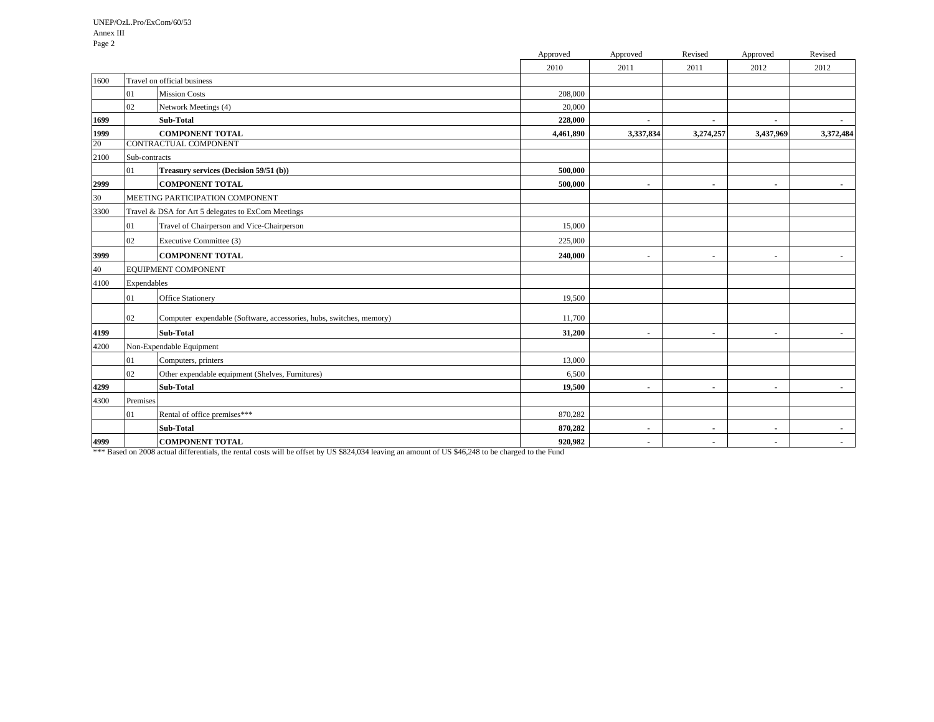|      |               |                                                                     | Approved  | Approved                 | Revised        | Approved                 | Revised        |
|------|---------------|---------------------------------------------------------------------|-----------|--------------------------|----------------|--------------------------|----------------|
|      |               |                                                                     | 2010      | 2011                     | 2011           | 2012                     | 2012           |
| 1600 |               | Travel on official business                                         |           |                          |                |                          |                |
|      | 01            | <b>Mission Costs</b>                                                | 208,000   |                          |                |                          |                |
|      | 02            | Network Meetings (4)                                                | 20,000    |                          |                |                          |                |
| 1699 |               | Sub-Total                                                           | 228,000   | $\blacksquare$           | $\blacksquare$ | $\sim$                   | $\sim$         |
| 1999 |               | <b>COMPONENT TOTAL</b>                                              | 4,461,890 | 3,337,834                | 3,274,257      | 3,437,969                | 3,372,484      |
| 20   |               | CONTRACTUAL COMPONENT                                               |           |                          |                |                          |                |
| 2100 | Sub-contracts |                                                                     |           |                          |                |                          |                |
|      | 01            | Treasury services (Decision 59/51 (b))                              | 500,000   |                          |                |                          |                |
| 2999 |               | <b>COMPONENT TOTAL</b>                                              | 500,000   | $\blacksquare$           | $\sim$         | $\sim$                   | $\blacksquare$ |
| 30   |               | MEETING PARTICIPATION COMPONENT                                     |           |                          |                |                          |                |
| 3300 |               | Travel & DSA for Art 5 delegates to ExCom Meetings                  |           |                          |                |                          |                |
|      | 01            | Travel of Chairperson and Vice-Chairperson                          | 15,000    |                          |                |                          |                |
|      | 02            | Executive Committee (3)                                             | 225,000   |                          |                |                          |                |
| 3999 |               | <b>COMPONENT TOTAL</b>                                              | 240,000   | $\overline{\phantom{a}}$ | $\blacksquare$ | $\overline{\phantom{a}}$ |                |
| 40   |               | EQUIPMENT COMPONENT                                                 |           |                          |                |                          |                |
| 4100 | Expendables   |                                                                     |           |                          |                |                          |                |
|      | 01            | Office Stationery                                                   | 19,500    |                          |                |                          |                |
|      | 02            | Computer expendable (Software, accessories, hubs, switches, memory) | 11,700    |                          |                |                          |                |
| 4199 |               | <b>Sub-Total</b>                                                    | 31,200    | $\blacksquare$           | $\sim$         | $\sim$                   | $\blacksquare$ |
| 4200 |               | Non-Expendable Equipment                                            |           |                          |                |                          |                |
|      | 01            | Computers, printers                                                 | 13,000    |                          |                |                          |                |
|      | 02            | Other expendable equipment (Shelves, Furnitures)                    | 6,500     |                          |                |                          |                |
| 4299 |               | <b>Sub-Total</b>                                                    | 19,500    | $\blacksquare$           | $\blacksquare$ | $\sim$                   |                |
| 4300 | Premises      |                                                                     |           |                          |                |                          |                |
|      | 01            | Rental of office premises***                                        | 870,282   |                          |                |                          |                |
|      |               | <b>Sub-Total</b>                                                    | 870,282   | $\blacksquare$           | $\sim$         | $\blacksquare$           | $\blacksquare$ |
| 4999 |               | <b>COMPONENT TOTAL</b>                                              | 920,982   | $\blacksquare$           | $\sim$         | $\blacksquare$           |                |

\*\*\* Based on 2008 actual differentials, the rental costs will be offset by US \$824,034 leaving an amount of US \$46,248 to be charged to the Fund